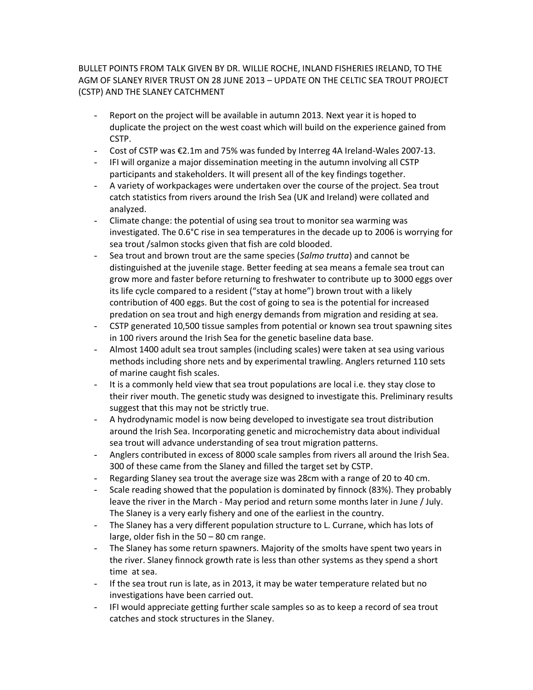## BULLET POINTS FROM TALK GIVEN BY DR. WILLIE ROCHE, INLAND FISHERIES IRELAND, TO THE AGM OF SLANEY RIVER TRUST ON 28 JUNE 2013 – UPDATE ON THE CELTIC SEA TROUT PROJECT (CSTP) AND THE SLANEY CATCHMENT

- Report on the project will be available in autumn 2013. Next year it is hoped to duplicate the project on the west coast which will build on the experience gained from CSTP.
- Cost of CSTP was €2.1m and 75% was funded by Interreg 4A Ireland-Wales 2007-13.
- IFI will organize a major dissemination meeting in the autumn involving all CSTP participants and stakeholders. It will present all of the key findings together.
- A variety of workpackages were undertaken over the course of the project. Sea trout catch statistics from rivers around the Irish Sea (UK and Ireland) were collated and analyzed.
- Climate change: the potential of using sea trout to monitor sea warming was investigated. The 0.6°C rise in sea temperatures in the decade up to 2006 is worrying for sea trout /salmon stocks given that fish are cold blooded.
- Sea trout and brown trout are the same species (*Salmo trutta*) and cannot be distinguished at the juvenile stage. Better feeding at sea means a female sea trout can grow more and faster before returning to freshwater to contribute up to 3000 eggs over its life cycle compared to a resident ("stay at home") brown trout with a likely contribution of 400 eggs. But the cost of going to sea is the potential for increased predation on sea trout and high energy demands from migration and residing at sea.
- CSTP generated 10,500 tissue samples from potential or known sea trout spawning sites in 100 rivers around the Irish Sea for the genetic baseline data base.
- Almost 1400 adult sea trout samples (including scales) were taken at sea using various methods including shore nets and by experimental trawling. Anglers returned 110 sets of marine caught fish scales.
- It is a commonly held view that sea trout populations are local i.e. they stay close to their river mouth. The genetic study was designed to investigate this. Preliminary results suggest that this may not be strictly true.
- A hydrodynamic model is now being developed to investigate sea trout distribution around the Irish Sea. Incorporating genetic and microchemistry data about individual sea trout will advance understanding of sea trout migration patterns.
- Anglers contributed in excess of 8000 scale samples from rivers all around the Irish Sea. 300 of these came from the Slaney and filled the target set by CSTP.
- Regarding Slaney sea trout the average size was 28cm with a range of 20 to 40 cm.
- Scale reading showed that the population is dominated by finnock (83%). They probably leave the river in the March - May period and return some months later in June / July. The Slaney is a very early fishery and one of the earliest in the country.
- The Slaney has a very different population structure to L. Currane, which has lots of large, older fish in the 50 – 80 cm range.
- The Slaney has some return spawners. Majority of the smolts have spent two years in the river. Slaney finnock growth rate is less than other systems as they spend a short time at sea.
- If the sea trout run is late, as in 2013, it may be water temperature related but no investigations have been carried out.
- IFI would appreciate getting further scale samples so as to keep a record of sea trout catches and stock structures in the Slaney.